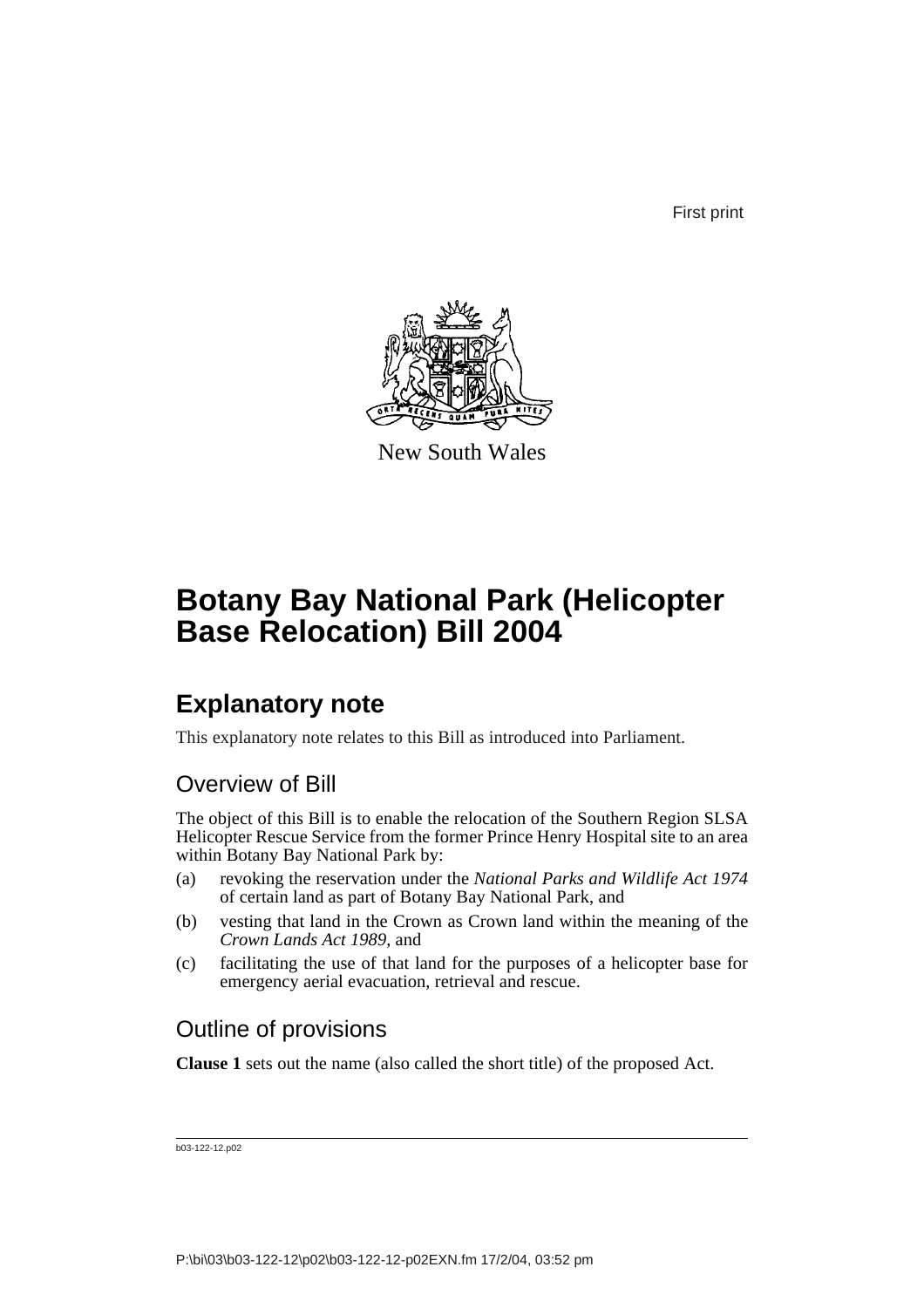First print



New South Wales

# **Botany Bay National Park (Helicopter Base Relocation) Bill 2004**

## **Explanatory note**

This explanatory note relates to this Bill as introduced into Parliament.

#### Overview of Bill

The object of this Bill is to enable the relocation of the Southern Region SLSA Helicopter Rescue Service from the former Prince Henry Hospital site to an area within Botany Bay National Park by:

- (a) revoking the reservation under the *National Parks and Wildlife Act 1974* of certain land as part of Botany Bay National Park, and
- (b) vesting that land in the Crown as Crown land within the meaning of the *Crown Lands Act 1989*, and
- (c) facilitating the use of that land for the purposes of a helicopter base for emergency aerial evacuation, retrieval and rescue.

#### Outline of provisions

**Clause 1** sets out the name (also called the short title) of the proposed Act.

b03-122-12.p02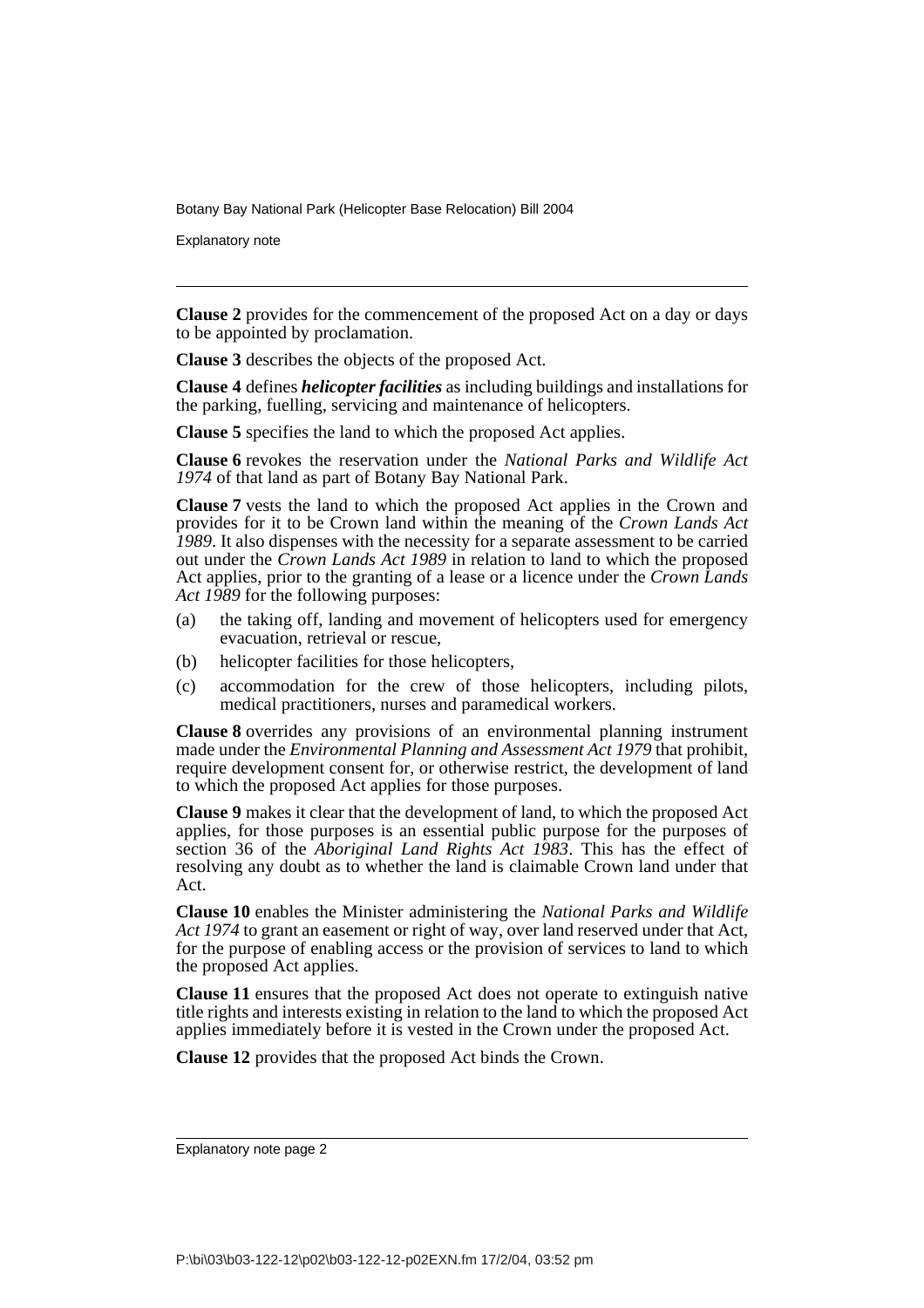Explanatory note

**Clause 2** provides for the commencement of the proposed Act on a day or days to be appointed by proclamation.

**Clause 3** describes the objects of the proposed Act.

**Clause 4** defines *helicopter facilities* as including buildings and installations for the parking, fuelling, servicing and maintenance of helicopters.

**Clause 5** specifies the land to which the proposed Act applies.

**Clause 6** revokes the reservation under the *National Parks and Wildlife Act 1974* of that land as part of Botany Bay National Park.

**Clause 7** vests the land to which the proposed Act applies in the Crown and provides for it to be Crown land within the meaning of the *Crown Lands Act 1989*. It also dispenses with the necessity for a separate assessment to be carried out under the *Crown Lands Act 1989* in relation to land to which the proposed Act applies, prior to the granting of a lease or a licence under the *Crown Lands Act 1989* for the following purposes:

- (a) the taking off, landing and movement of helicopters used for emergency evacuation, retrieval or rescue,
- (b) helicopter facilities for those helicopters,
- (c) accommodation for the crew of those helicopters, including pilots, medical practitioners, nurses and paramedical workers.

**Clause 8** overrides any provisions of an environmental planning instrument made under the *Environmental Planning and Assessment Act 1979* that prohibit, require development consent for, or otherwise restrict, the development of land to which the proposed Act applies for those purposes.

**Clause 9** makes it clear that the development of land, to which the proposed Act applies, for those purposes is an essential public purpose for the purposes of section 36 of the *Aboriginal Land Rights Act 1983*. This has the effect of resolving any doubt as to whether the land is claimable Crown land under that Act.

**Clause 10** enables the Minister administering the *National Parks and Wildlife Act 1974* to grant an easement or right of way, over land reserved under that Act, for the purpose of enabling access or the provision of services to land to which the proposed Act applies.

**Clause 11** ensures that the proposed Act does not operate to extinguish native title rights and interests existing in relation to the land to which the proposed Act applies immediately before it is vested in the Crown under the proposed Act.

**Clause 12** provides that the proposed Act binds the Crown.

Explanatory note page 2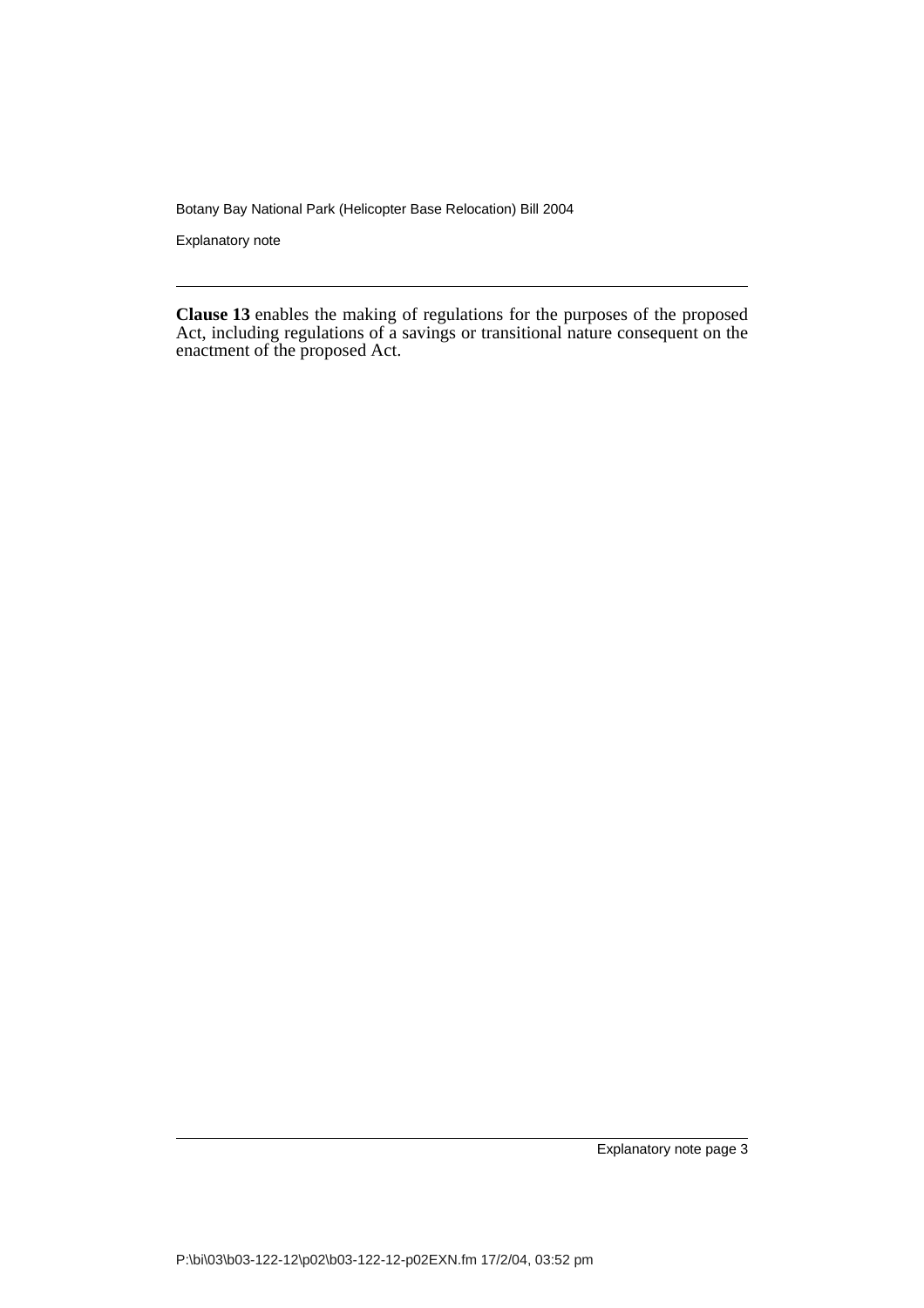Explanatory note

**Clause 13** enables the making of regulations for the purposes of the proposed Act, including regulations of a savings or transitional nature consequent on the enactment of the proposed Act.

Explanatory note page 3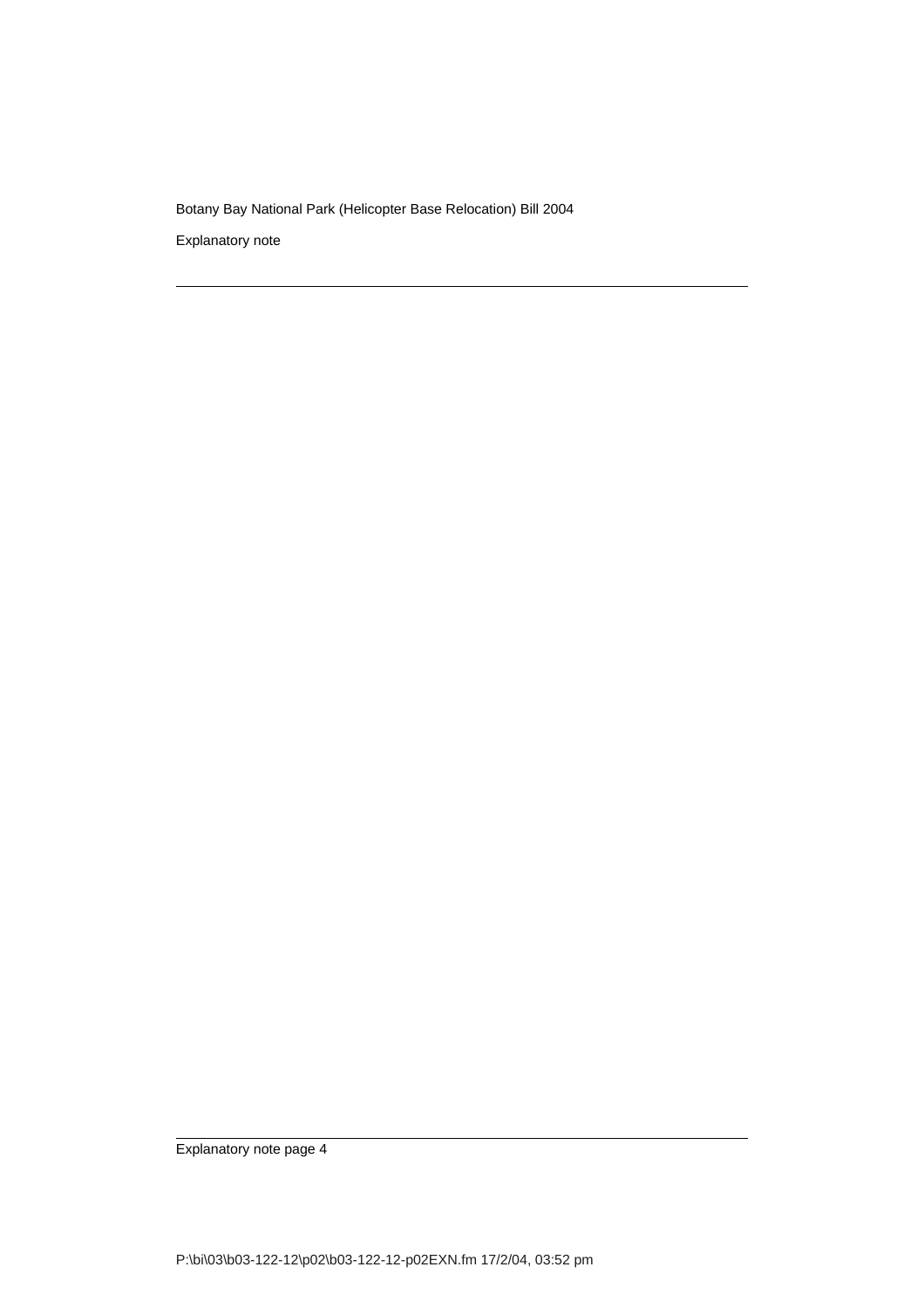Explanatory note

Explanatory note page 4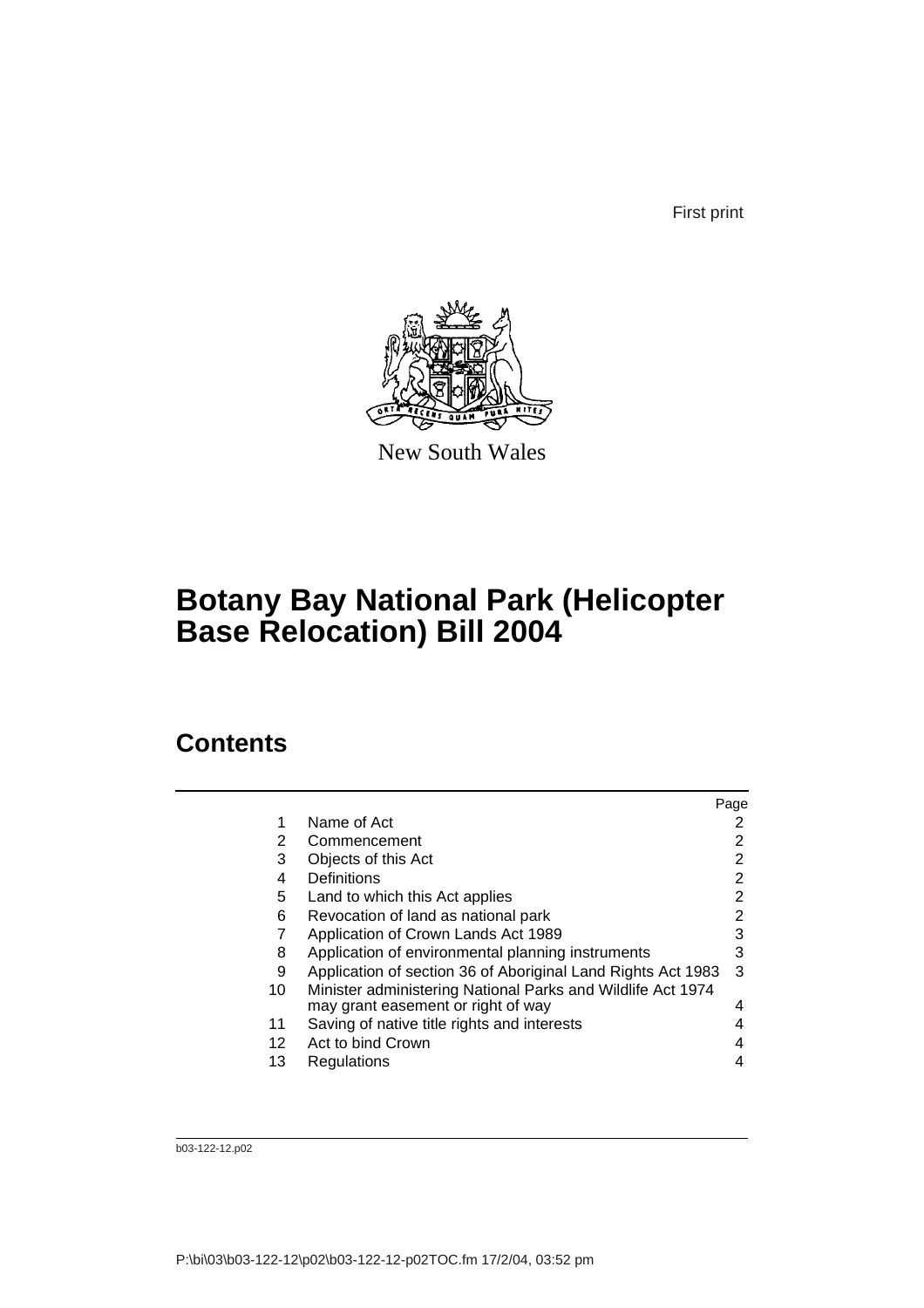First print



New South Wales

## **Botany Bay National Park (Helicopter Base Relocation) Bill 2004**

### **Contents**

|                 |                                                              | Page           |
|-----------------|--------------------------------------------------------------|----------------|
| 1               | Name of Act                                                  | 2              |
| 2               | Commencement                                                 | 2              |
| 3               | Objects of this Act                                          | 2              |
| 4               | Definitions                                                  | 2              |
| 5               | Land to which this Act applies                               | $\overline{2}$ |
| 6               | Revocation of land as national park                          | 2              |
|                 | Application of Crown Lands Act 1989                          | 3              |
| 8               | Application of environmental planning instruments            | 3              |
| 9               | Application of section 36 of Aboriginal Land Rights Act 1983 | 3              |
| 10              | Minister administering National Parks and Wildlife Act 1974  |                |
|                 | may grant easement or right of way                           | 4              |
| 11              | Saving of native title rights and interests                  | 4              |
| 12 <sup>2</sup> | Act to bind Crown                                            | 4              |
| 13              | Regulations                                                  |                |
|                 |                                                              |                |

b03-122-12.p02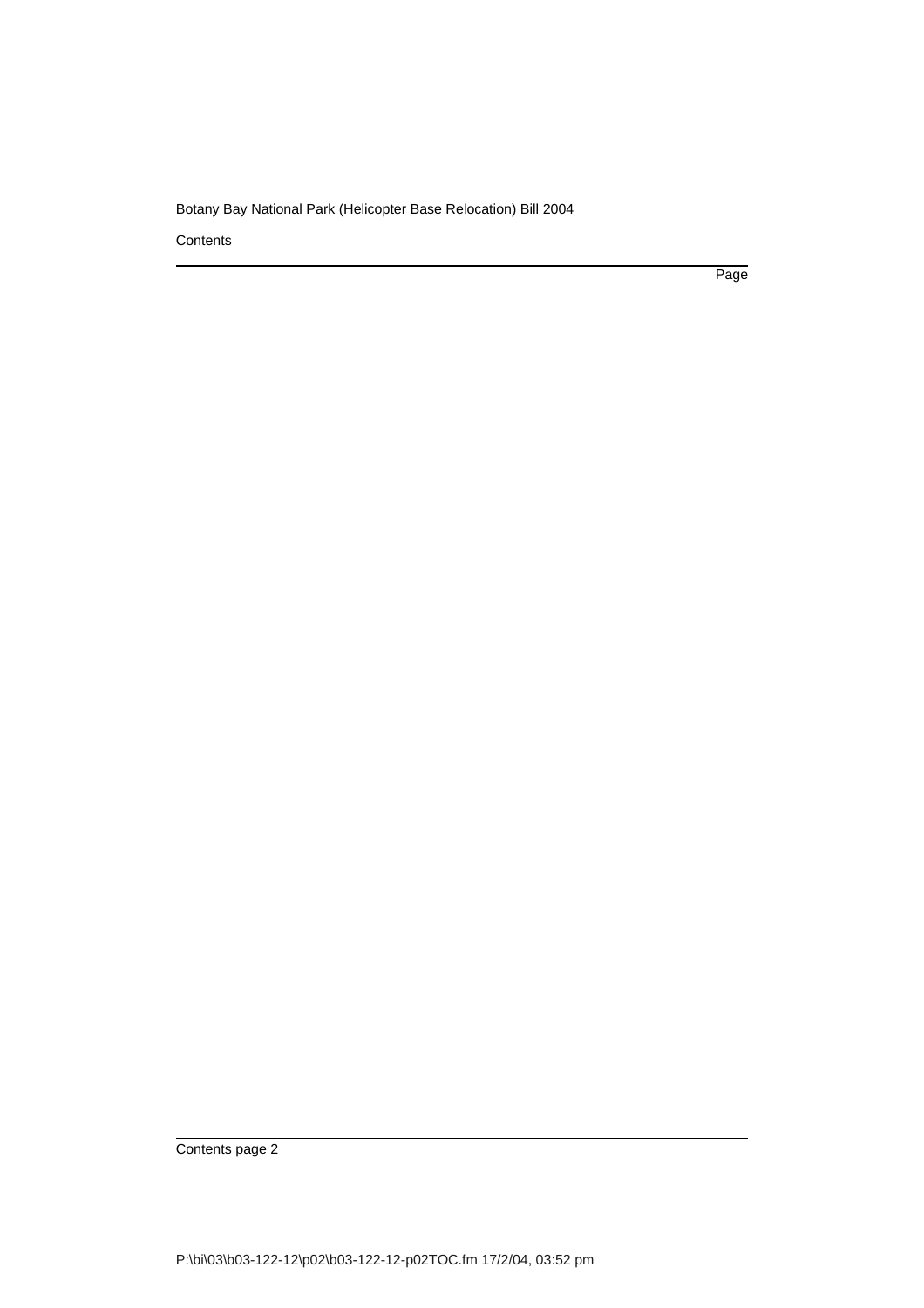**Contents** 

Page

Contents page 2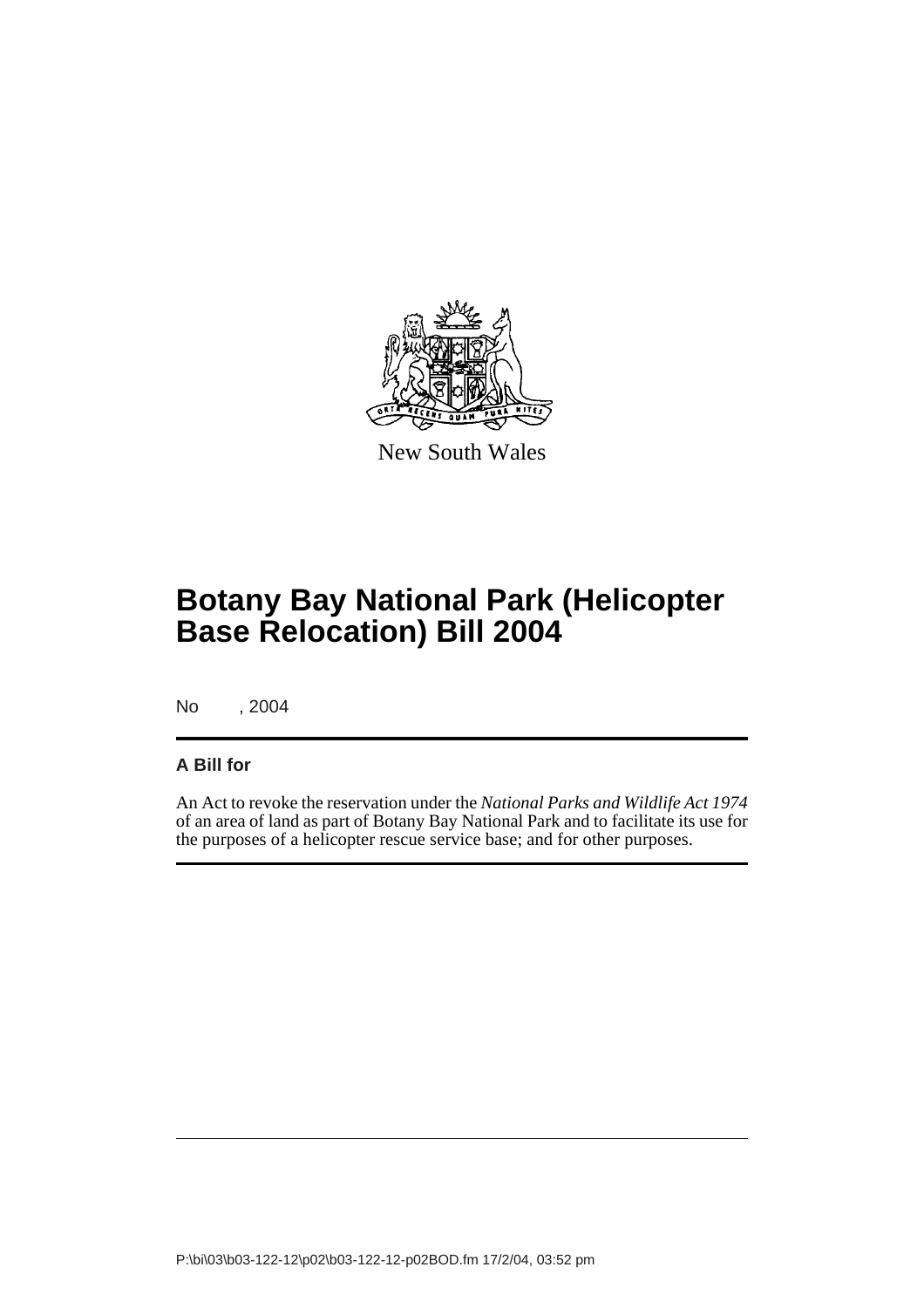

New South Wales

# **Botany Bay National Park (Helicopter Base Relocation) Bill 2004**

No , 2004

#### **A Bill for**

An Act to revoke the reservation under the *National Parks and Wildlife Act 1974* of an area of land as part of Botany Bay National Park and to facilitate its use for the purposes of a helicopter rescue service base; and for other purposes.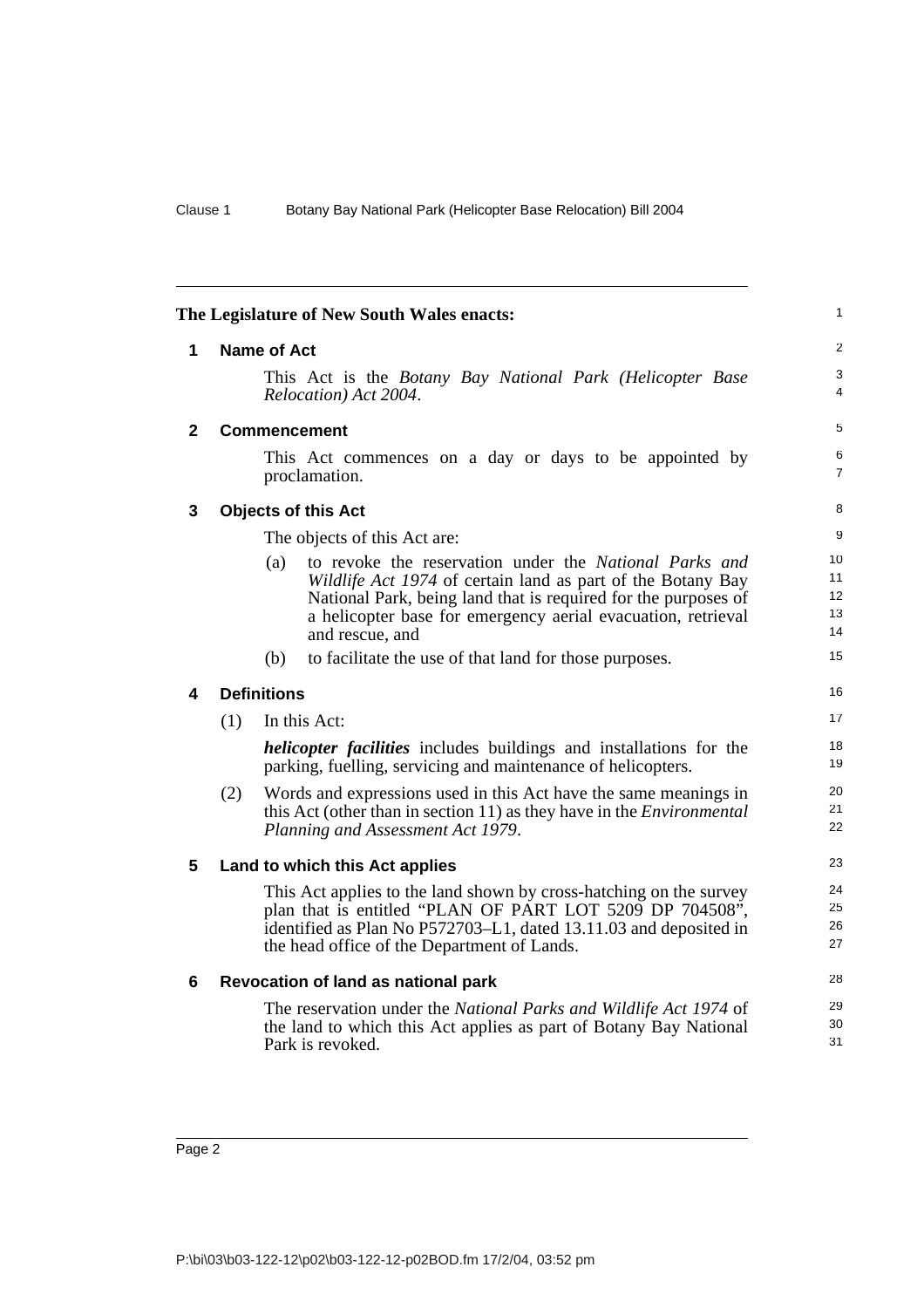<span id="page-7-5"></span><span id="page-7-4"></span><span id="page-7-3"></span><span id="page-7-2"></span><span id="page-7-1"></span><span id="page-7-0"></span>

|              | The Legislature of New South Wales enacts:                                                                                                                                                                                                                                        |                            |
|--------------|-----------------------------------------------------------------------------------------------------------------------------------------------------------------------------------------------------------------------------------------------------------------------------------|----------------------------|
| $\mathbf{1}$ | <b>Name of Act</b>                                                                                                                                                                                                                                                                |                            |
|              | This Act is the <i>Botany Bay National Park (Helicopter Base</i><br>Relocation) Act 2004.                                                                                                                                                                                         |                            |
| $\mathbf{2}$ | <b>Commencement</b>                                                                                                                                                                                                                                                               |                            |
|              | This Act commences on a day or days to be appointed by<br>proclamation.                                                                                                                                                                                                           |                            |
| 3            | <b>Objects of this Act</b>                                                                                                                                                                                                                                                        |                            |
|              | The objects of this Act are:                                                                                                                                                                                                                                                      |                            |
|              | to revoke the reservation under the National Parks and<br>(a)<br>Wildlife Act 1974 of certain land as part of the Botany Bay<br>National Park, being land that is required for the purposes of<br>a helicopter base for emergency aerial evacuation, retrieval<br>and rescue, and | 10<br>11<br>12<br>13<br>14 |
|              | (b)<br>to facilitate the use of that land for those purposes.                                                                                                                                                                                                                     | 15                         |
| 4            | <b>Definitions</b>                                                                                                                                                                                                                                                                | 16                         |
|              | (1)<br>In this Act:                                                                                                                                                                                                                                                               | 17                         |
|              | <i>helicopter facilities</i> includes buildings and installations for the<br>parking, fuelling, servicing and maintenance of helicopters.                                                                                                                                         | 18<br>19                   |
|              | Words and expressions used in this Act have the same meanings in<br>(2)<br>this Act (other than in section 11) as they have in the <i>Environmental</i><br>Planning and Assessment Act 1979.                                                                                      | 20<br>21<br>22             |
| 5            | Land to which this Act applies                                                                                                                                                                                                                                                    | 23                         |
|              | This Act applies to the land shown by cross-hatching on the survey<br>plan that is entitled "PLAN OF PART LOT 5209 DP 704508",<br>identified as Plan No P572703–L1, dated 13.11.03 and deposited in<br>the head office of the Department of Lands.                                | 24<br>25<br>26<br>27       |
| 6            | Revocation of land as national park                                                                                                                                                                                                                                               | 28                         |
|              | The reservation under the National Parks and Wildlife Act 1974 of<br>the land to which this Act applies as part of Botany Bay National<br>Park is revoked.                                                                                                                        | 29<br>30<br>31             |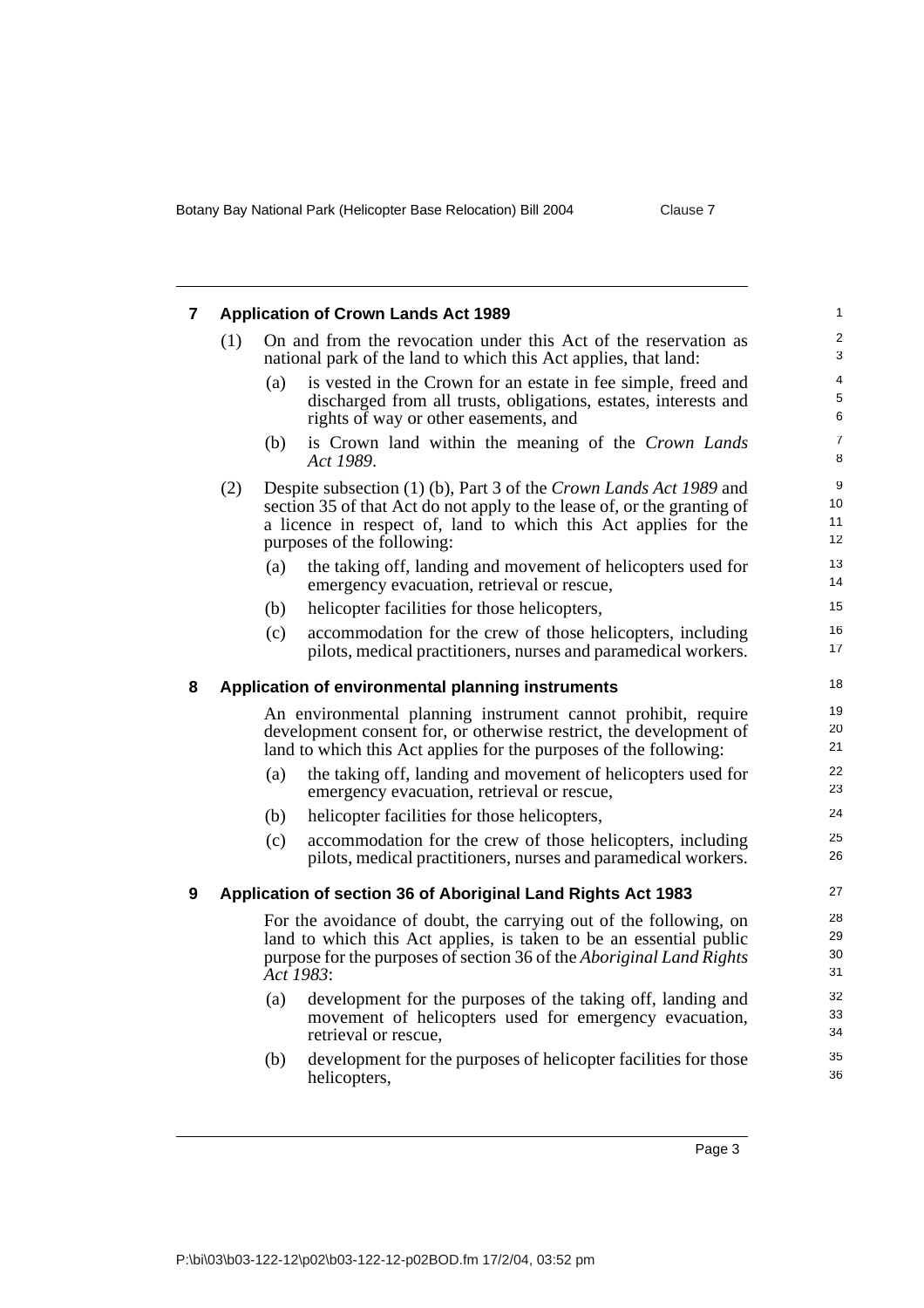<span id="page-8-2"></span><span id="page-8-1"></span><span id="page-8-0"></span>

| 7 |     |     | <b>Application of Crown Lands Act 1989</b>                                                                                                                                                                                                     | $\mathbf{1}$         |
|---|-----|-----|------------------------------------------------------------------------------------------------------------------------------------------------------------------------------------------------------------------------------------------------|----------------------|
|   | (1) |     | On and from the revocation under this Act of the reservation as<br>national park of the land to which this Act applies, that land:                                                                                                             | $\overline{2}$<br>3  |
|   |     | (a) | is vested in the Crown for an estate in fee simple, freed and<br>discharged from all trusts, obligations, estates, interests and<br>rights of way or other easements, and                                                                      | 4<br>5<br>$\,6\,$    |
|   |     | (b) | is Crown land within the meaning of the Crown Lands<br>Act 1989.                                                                                                                                                                               | $\overline{7}$<br>8  |
|   | (2) |     | Despite subsection (1) (b), Part 3 of the Crown Lands Act 1989 and<br>section 35 of that Act do not apply to the lease of, or the granting of<br>a licence in respect of, land to which this Act applies for the<br>purposes of the following: | 9<br>10<br>11<br>12  |
|   |     | (a) | the taking off, landing and movement of helicopters used for<br>emergency evacuation, retrieval or rescue,                                                                                                                                     | 13<br>14             |
|   |     | (b) | helicopter facilities for those helicopters,                                                                                                                                                                                                   | 15                   |
|   |     | (c) | accommodation for the crew of those helicopters, including<br>pilots, medical practitioners, nurses and paramedical workers.                                                                                                                   | 16<br>17             |
| 8 |     |     | Application of environmental planning instruments                                                                                                                                                                                              | 18                   |
|   |     |     | An environmental planning instrument cannot prohibit, require<br>development consent for, or otherwise restrict, the development of<br>land to which this Act applies for the purposes of the following:                                       | 19<br>20<br>21       |
|   |     | (a) | the taking off, landing and movement of helicopters used for<br>emergency evacuation, retrieval or rescue,                                                                                                                                     | 22<br>23             |
|   |     | (b) | helicopter facilities for those helicopters,                                                                                                                                                                                                   | 24                   |
|   |     | (c) | accommodation for the crew of those helicopters, including<br>pilots, medical practitioners, nurses and paramedical workers.                                                                                                                   | 25<br>26             |
| 9 |     |     | Application of section 36 of Aboriginal Land Rights Act 1983                                                                                                                                                                                   | 27                   |
|   |     |     | For the avoidance of doubt, the carrying out of the following, on<br>land to which this Act applies, is taken to be an essential public<br>purpose for the purposes of section 36 of the <i>Aboriginal Land Rights</i><br>Act 1983:            | 28<br>29<br>30<br>31 |
|   |     | (a) | development for the purposes of the taking off, landing and<br>movement of helicopters used for emergency evacuation,<br>retrieval or rescue,                                                                                                  | 32<br>33<br>34       |
|   |     | (b) | development for the purposes of helicopter facilities for those<br>helicopters,                                                                                                                                                                | 35<br>36             |

Page 3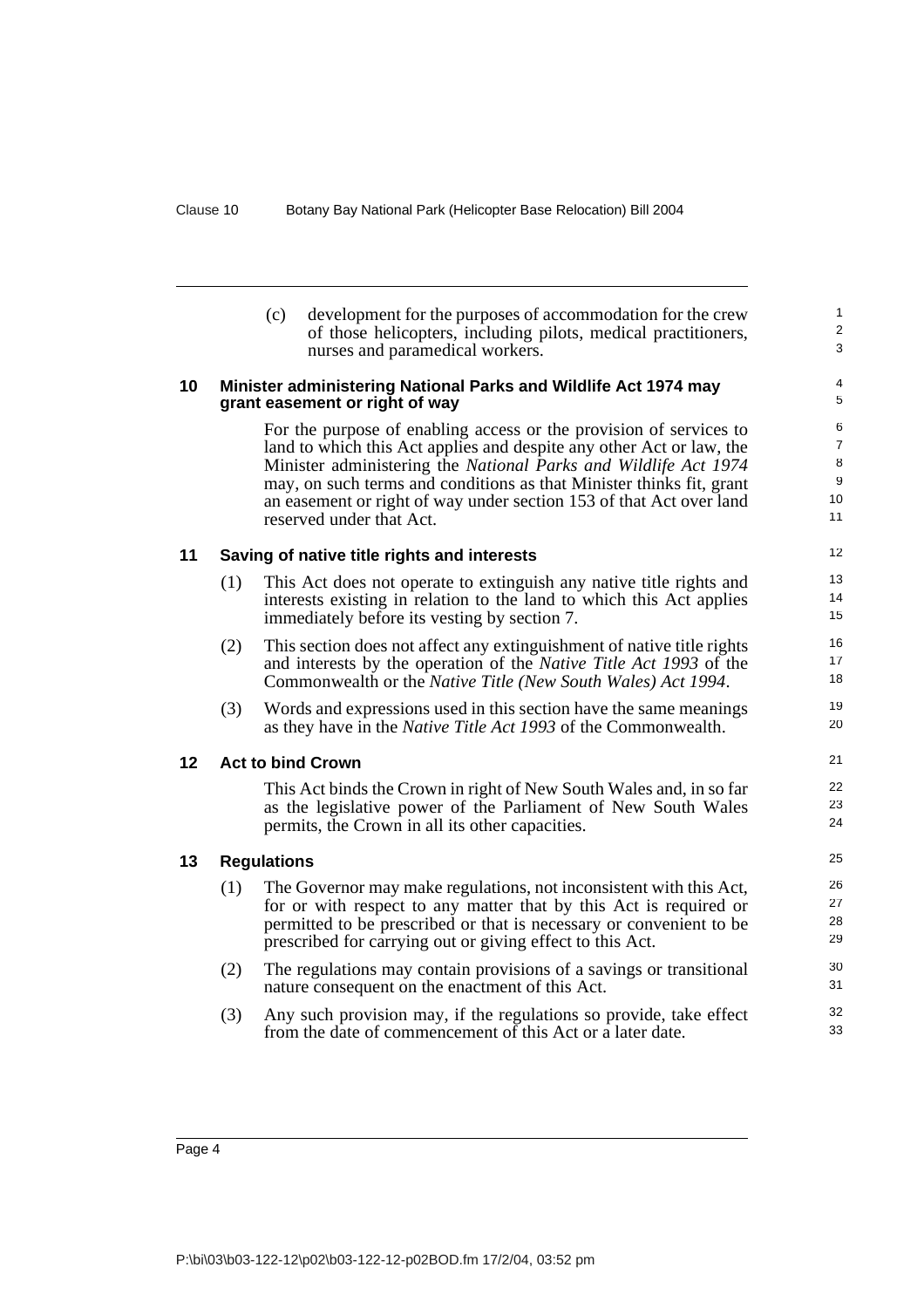<span id="page-9-3"></span><span id="page-9-2"></span><span id="page-9-1"></span><span id="page-9-0"></span>

|    |                                             | development for the purposes of accommodation for the crew<br>(c)<br>of those helicopters, including pilots, medical practitioners,<br>nurses and paramedical workers.                                                                                                                                                                                                                   | $\mathbf{1}$<br>2<br>3                    |
|----|---------------------------------------------|------------------------------------------------------------------------------------------------------------------------------------------------------------------------------------------------------------------------------------------------------------------------------------------------------------------------------------------------------------------------------------------|-------------------------------------------|
| 10 |                                             | Minister administering National Parks and Wildlife Act 1974 may<br>grant easement or right of way                                                                                                                                                                                                                                                                                        | 4<br>5                                    |
|    |                                             | For the purpose of enabling access or the provision of services to<br>land to which this Act applies and despite any other Act or law, the<br>Minister administering the National Parks and Wildlife Act 1974<br>may, on such terms and conditions as that Minister thinks fit, grant<br>an easement or right of way under section 153 of that Act over land<br>reserved under that Act. | 6<br>$\overline{7}$<br>8<br>9<br>10<br>11 |
| 11 | Saving of native title rights and interests |                                                                                                                                                                                                                                                                                                                                                                                          |                                           |
|    | (1)                                         | This Act does not operate to extinguish any native title rights and<br>interests existing in relation to the land to which this Act applies<br>immediately before its vesting by section 7.                                                                                                                                                                                              | 13<br>14<br>15                            |
|    | (2)                                         | This section does not affect any extinguishment of native title rights<br>and interests by the operation of the Native Title Act 1993 of the<br>Commonwealth or the Native Title (New South Wales) Act 1994.                                                                                                                                                                             | 16<br>17<br>18                            |
|    | (3)                                         | Words and expressions used in this section have the same meanings<br>as they have in the <i>Native Title Act 1993</i> of the Commonwealth.                                                                                                                                                                                                                                               | 19<br>20                                  |
| 12 | <b>Act to bind Crown</b>                    |                                                                                                                                                                                                                                                                                                                                                                                          | 21                                        |
|    |                                             | This Act binds the Crown in right of New South Wales and, in so far<br>as the legislative power of the Parliament of New South Wales<br>permits, the Crown in all its other capacities.                                                                                                                                                                                                  | 22<br>23<br>24                            |
| 13 | <b>Regulations</b>                          |                                                                                                                                                                                                                                                                                                                                                                                          |                                           |
|    | (1)                                         | The Governor may make regulations, not inconsistent with this Act,<br>for or with respect to any matter that by this Act is required or<br>permitted to be prescribed or that is necessary or convenient to be<br>prescribed for carrying out or giving effect to this Act.                                                                                                              | 26<br>27<br>28<br>29                      |
|    | (2)                                         | The regulations may contain provisions of a savings or transitional<br>nature consequent on the enactment of this Act.                                                                                                                                                                                                                                                                   | 30<br>31                                  |
|    | (3)                                         | Any such provision may, if the regulations so provide, take effect<br>from the date of commencement of this Act or a later date.                                                                                                                                                                                                                                                         | 32<br>33                                  |